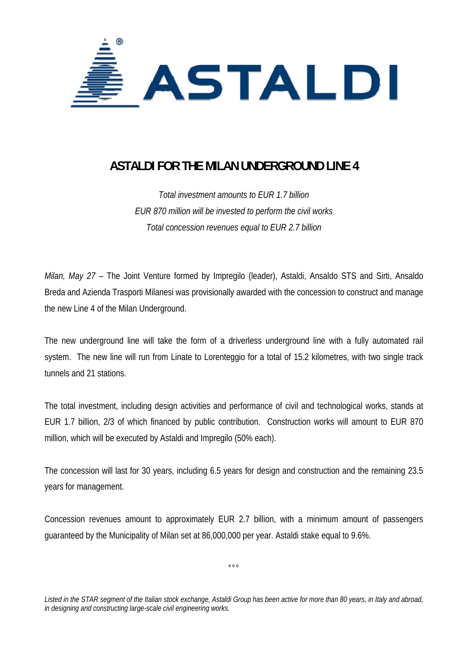

## **ASTALDI FOR THE MILAN UNDERGROUND LINE 4**

*Total investment amounts to EUR 1.7 billion EUR 870 million will be invested to perform the civil works Total concession revenues equal to EUR 2.7 billion* 

*Milan, May 27* – The Joint Venture formed by Impregilo (leader), Astaldi, Ansaldo STS and Sirti, Ansaldo Breda and Azienda Trasporti Milanesi was provisionally awarded with the concession to construct and manage the new Line 4 of the Milan Underground.

The new underground line will take the form of a driverless underground line with a fully automated rail system. The new line will run from Linate to Lorenteggio for a total of 15.2 kilometres, with two single track tunnels and 21 stations.

The total investment, including design activities and performance of civil and technological works, stands at EUR 1.7 billion, 2/3 of which financed by public contribution. Construction works will amount to EUR 870 million, which will be executed by Astaldi and Impregilo (50% each).

The concession will last for 30 years, including 6.5 years for design and construction and the remaining 23.5 years for management.

Concession revenues amount to approximately EUR 2.7 billion, with a minimum amount of passengers guaranteed by the Municipality of Milan set at 86,000,000 per year. Astaldi stake equal to 9.6%.

 $\sim$ 

*Listed in the STAR segment of the Italian stock exchange, Astaldi Group has been active for more than 80 years, in Italy and abroad, in designing and constructing large-scale civil engineering works.*